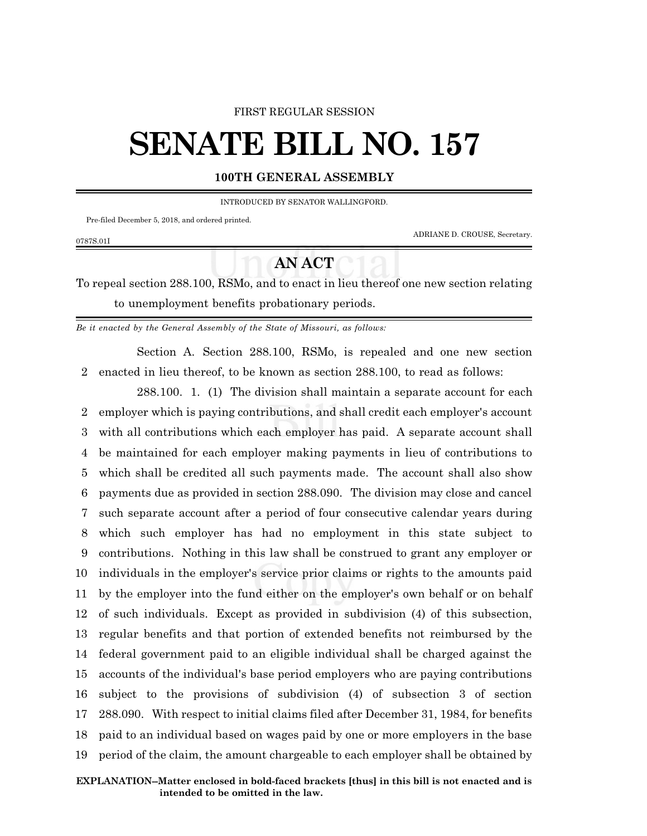## FIRST REGULAR SESSION

## **SENATE BILL NO. 157**

## **100TH GENERAL ASSEMBLY**

INTRODUCED BY SENATOR WALLINGFORD.

Pre-filed December 5, 2018, and ordered printed.

0787S.01I

ADRIANE D. CROUSE, Secretary.

## **AN ACT**

To repeal section 288.100, RSMo, and to enact in lieu thereof one new section relating to unemployment benefits probationary periods.

*Be it enacted by the General Assembly of the State of Missouri, as follows:*

Section A. Section 288.100, RSMo, is repealed and one new section 2 enacted in lieu thereof, to be known as section 288.100, to read as follows:

288.100. 1. (1) The division shall maintain a separate account for each employer which is paying contributions, and shall credit each employer's account with all contributions which each employer has paid. A separate account shall be maintained for each employer making payments in lieu of contributions to which shall be credited all such payments made. The account shall also show payments due as provided in section 288.090. The division may close and cancel such separate account after a period of four consecutive calendar years during which such employer has had no employment in this state subject to contributions. Nothing in this law shall be construed to grant any employer or individuals in the employer's service prior claims or rights to the amounts paid by the employer into the fund either on the employer's own behalf or on behalf of such individuals. Except as provided in subdivision (4) of this subsection, regular benefits and that portion of extended benefits not reimbursed by the federal government paid to an eligible individual shall be charged against the accounts of the individual's base period employers who are paying contributions subject to the provisions of subdivision (4) of subsection 3 of section 288.090. With respect to initial claims filed after December 31, 1984, for benefits paid to an individual based on wages paid by one or more employers in the base period of the claim, the amount chargeable to each employer shall be obtained by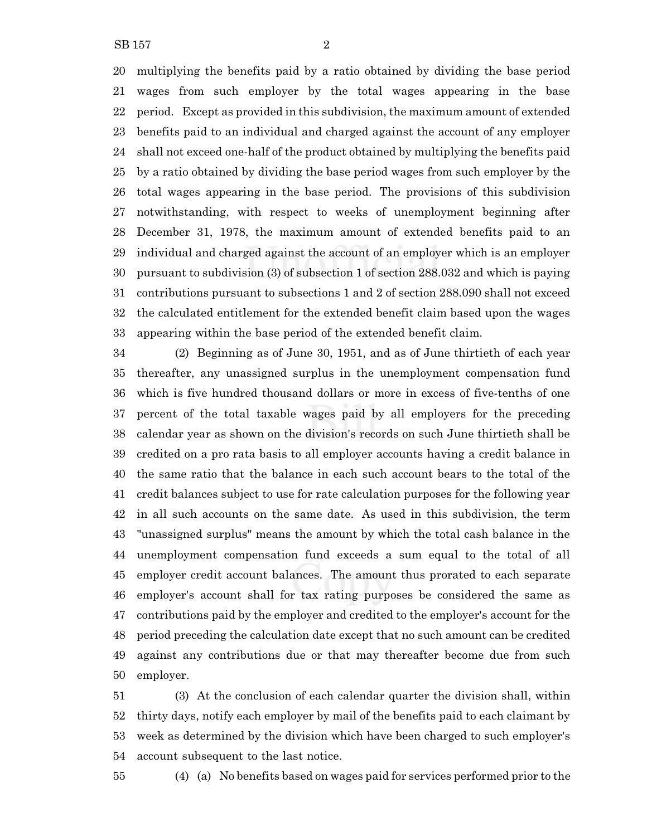SB 157 2

 multiplying the benefits paid by a ratio obtained by dividing the base period wages from such employer by the total wages appearing in the base period. Except as provided in this subdivision, the maximum amount of extended benefits paid to an individual and charged against the account of any employer shall not exceed one-half of the product obtained by multiplying the benefits paid by a ratio obtained by dividing the base period wages from such employer by the total wages appearing in the base period. The provisions of this subdivision notwithstanding, with respect to weeks of unemployment beginning after December 31, 1978, the maximum amount of extended benefits paid to an individual and charged against the account of an employer which is an employer pursuant to subdivision (3) of subsection 1 of section 288.032 and which is paying contributions pursuant to subsections 1 and 2 of section 288.090 shall not exceed the calculated entitlement for the extended benefit claim based upon the wages appearing within the base period of the extended benefit claim.

 (2) Beginning as of June 30, 1951, and as of June thirtieth of each year thereafter, any unassigned surplus in the unemployment compensation fund which is five hundred thousand dollars or more in excess of five-tenths of one percent of the total taxable wages paid by all employers for the preceding calendar year as shown on the division's records on such June thirtieth shall be credited on a pro rata basis to all employer accounts having a credit balance in the same ratio that the balance in each such account bears to the total of the credit balances subject to use for rate calculation purposes for the following year in all such accounts on the same date. As used in this subdivision, the term "unassigned surplus" means the amount by which the total cash balance in the unemployment compensation fund exceeds a sum equal to the total of all employer credit account balances. The amount thus prorated to each separate employer's account shall for tax rating purposes be considered the same as contributions paid by the employer and credited to the employer's account for the period preceding the calculation date except that no such amount can be credited against any contributions due or that may thereafter become due from such employer.

 (3) At the conclusion of each calendar quarter the division shall, within thirty days, notify each employer by mail of the benefits paid to each claimant by week as determined by the division which have been charged to such employer's account subsequent to the last notice.

(4) (a) No benefits based on wages paid for services performed prior to the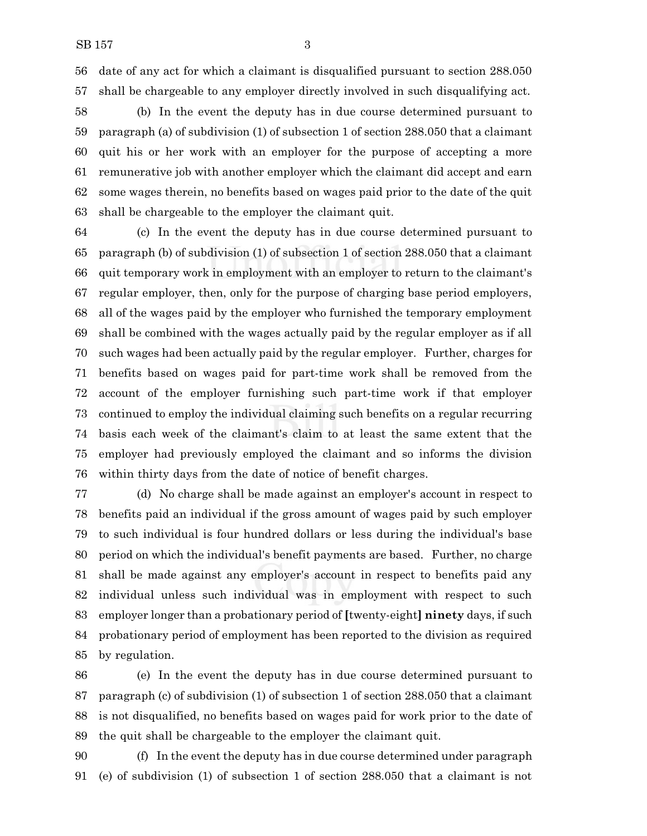date of any act for which a claimant is disqualified pursuant to section 288.050 shall be chargeable to any employer directly involved in such disqualifying act.

 (b) In the event the deputy has in due course determined pursuant to paragraph (a) of subdivision (1) of subsection 1 of section 288.050 that a claimant quit his or her work with an employer for the purpose of accepting a more remunerative job with another employer which the claimant did accept and earn some wages therein, no benefits based on wages paid prior to the date of the quit shall be chargeable to the employer the claimant quit.

 (c) In the event the deputy has in due course determined pursuant to paragraph (b) of subdivision (1) of subsection 1 of section 288.050 that a claimant quit temporary work in employment with an employer to return to the claimant's regular employer, then, only for the purpose of charging base period employers, all of the wages paid by the employer who furnished the temporary employment shall be combined with the wages actually paid by the regular employer as if all such wages had been actually paid by the regular employer. Further, charges for benefits based on wages paid for part-time work shall be removed from the account of the employer furnishing such part-time work if that employer continued to employ the individual claiming such benefits on a regular recurring basis each week of the claimant's claim to at least the same extent that the employer had previously employed the claimant and so informs the division within thirty days from the date of notice of benefit charges.

 (d) No charge shall be made against an employer's account in respect to benefits paid an individual if the gross amount of wages paid by such employer to such individual is four hundred dollars or less during the individual's base period on which the individual's benefit payments are based. Further, no charge shall be made against any employer's account in respect to benefits paid any individual unless such individual was in employment with respect to such employer longer than a probationary period of **[**twenty-eight**] ninety** days, if such probationary period of employment has been reported to the division as required by regulation.

 (e) In the event the deputy has in due course determined pursuant to paragraph (c) of subdivision (1) of subsection 1 of section 288.050 that a claimant is not disqualified, no benefits based on wages paid for work prior to the date of the quit shall be chargeable to the employer the claimant quit.

 (f) In the event the deputy has in due course determined under paragraph (e) of subdivision (1) of subsection 1 of section 288.050 that a claimant is not